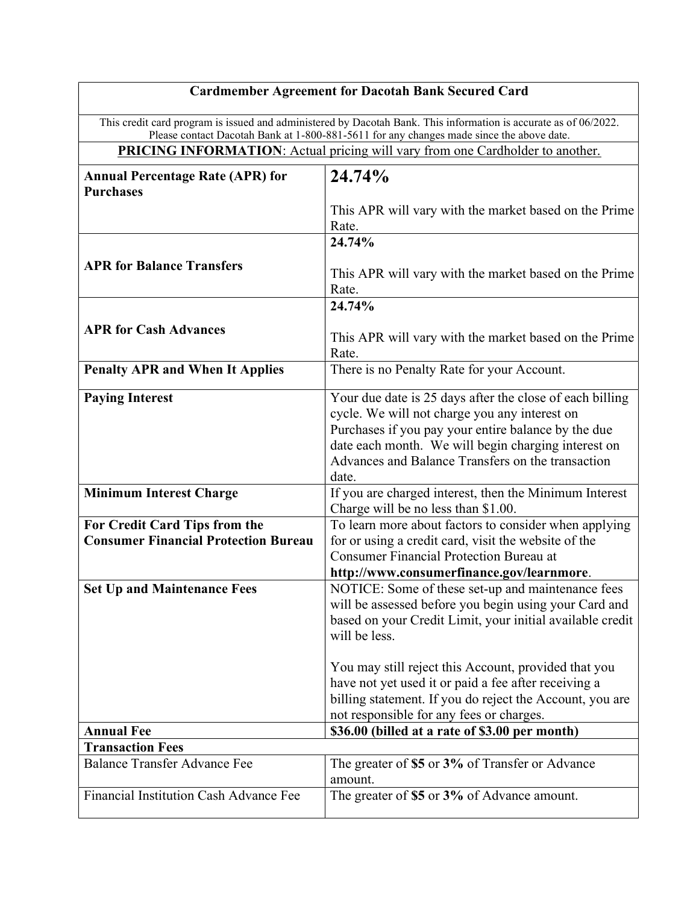| <b>Cardmember Agreement for Dacotah Bank Secured Card</b>                                                        |                                                                                              |
|------------------------------------------------------------------------------------------------------------------|----------------------------------------------------------------------------------------------|
| This credit card program is issued and administered by Dacotah Bank. This information is accurate as of 06/2022. |                                                                                              |
| Please contact Dacotah Bank at 1-800-881-5611 for any changes made since the above date.                         |                                                                                              |
| <b>PRICING INFORMATION:</b> Actual pricing will vary from one Cardholder to another.                             |                                                                                              |
| <b>Annual Percentage Rate (APR) for</b>                                                                          | 24.74%                                                                                       |
| <b>Purchases</b>                                                                                                 |                                                                                              |
|                                                                                                                  | This APR will vary with the market based on the Prime                                        |
|                                                                                                                  | Rate.                                                                                        |
|                                                                                                                  | 24.74%                                                                                       |
| <b>APR for Balance Transfers</b>                                                                                 | This APR will vary with the market based on the Prime                                        |
|                                                                                                                  | Rate.                                                                                        |
|                                                                                                                  | 24.74%                                                                                       |
| <b>APR for Cash Advances</b>                                                                                     |                                                                                              |
|                                                                                                                  | This APR will vary with the market based on the Prime                                        |
|                                                                                                                  | Rate.                                                                                        |
| <b>Penalty APR and When It Applies</b>                                                                           | There is no Penalty Rate for your Account.                                                   |
| <b>Paying Interest</b>                                                                                           | Your due date is 25 days after the close of each billing                                     |
|                                                                                                                  | cycle. We will not charge you any interest on                                                |
|                                                                                                                  | Purchases if you pay your entire balance by the due                                          |
|                                                                                                                  | date each month. We will begin charging interest on                                          |
|                                                                                                                  | Advances and Balance Transfers on the transaction                                            |
|                                                                                                                  | date.                                                                                        |
| <b>Minimum Interest Charge</b>                                                                                   | If you are charged interest, then the Minimum Interest                                       |
| For Credit Card Tips from the                                                                                    | Charge will be no less than \$1.00.<br>To learn more about factors to consider when applying |
| <b>Consumer Financial Protection Bureau</b>                                                                      | for or using a credit card, visit the website of the                                         |
|                                                                                                                  | <b>Consumer Financial Protection Bureau at</b>                                               |
|                                                                                                                  | http://www.consumerfinance.gov/learnmore.                                                    |
| <b>Set Up and Maintenance Fees</b>                                                                               | NOTICE: Some of these set-up and maintenance fees                                            |
|                                                                                                                  | will be assessed before you begin using your Card and                                        |
|                                                                                                                  | based on your Credit Limit, your initial available credit                                    |
|                                                                                                                  | will be less.                                                                                |
|                                                                                                                  | You may still reject this Account, provided that you                                         |
|                                                                                                                  | have not yet used it or paid a fee after receiving a                                         |
|                                                                                                                  | billing statement. If you do reject the Account, you are                                     |
|                                                                                                                  | not responsible for any fees or charges.                                                     |
| <b>Annual Fee</b>                                                                                                | \$36.00 (billed at a rate of \$3.00 per month)                                               |
| <b>Transaction Fees</b>                                                                                          |                                                                                              |
| <b>Balance Transfer Advance Fee</b>                                                                              | The greater of \$5 or 3% of Transfer or Advance                                              |
| Financial Institution Cash Advance Fee                                                                           | amount.                                                                                      |
|                                                                                                                  | The greater of \$5 or 3% of Advance amount.                                                  |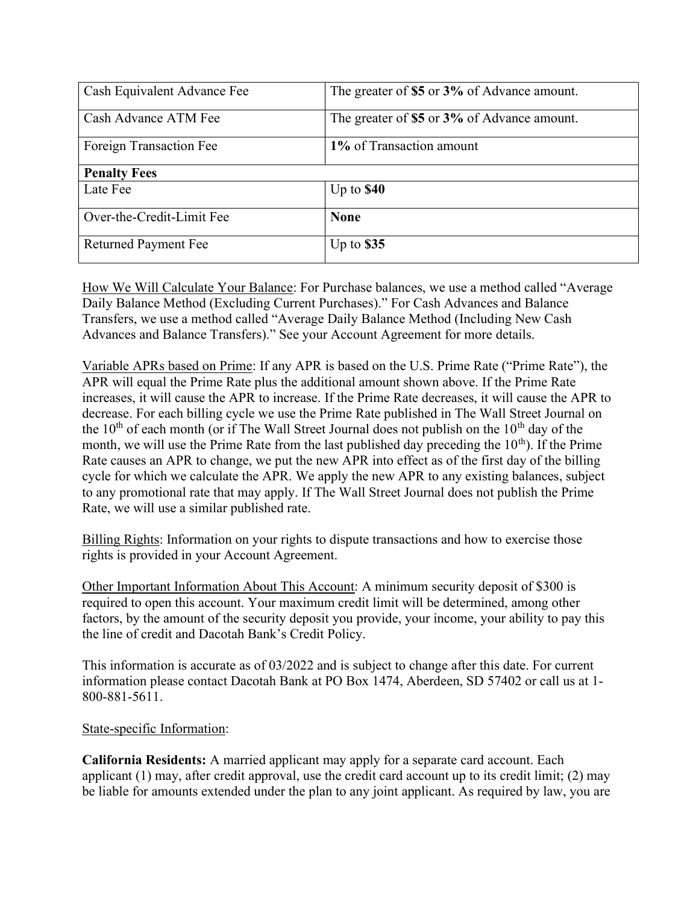| Cash Equivalent Advance Fee | The greater of \$5 or 3% of Advance amount. |
|-----------------------------|---------------------------------------------|
| Cash Advance ATM Fee        | The greater of \$5 or 3% of Advance amount. |
| Foreign Transaction Fee     | 1% of Transaction amount                    |
| <b>Penalty Fees</b>         |                                             |
| Late Fee                    | Up to $$40$                                 |
| Over-the-Credit-Limit Fee   | <b>None</b>                                 |
| <b>Returned Payment Fee</b> | Up to $$35$                                 |

How We Will Calculate Your Balance: For Purchase balances, we use a method called "Average Daily Balance Method (Excluding Current Purchases)." For Cash Advances and Balance Transfers, we use a method called "Average Daily Balance Method (Including New Cash Advances and Balance Transfers)." See your Account Agreement for more details.

Variable APRs based on Prime: If any APR is based on the U.S. Prime Rate ("Prime Rate"), the APR will equal the Prime Rate plus the additional amount shown above. If the Prime Rate increases, it will cause the APR to increase. If the Prime Rate decreases, it will cause the APR to decrease. For each billing cycle we use the Prime Rate published in The Wall Street Journal on the  $10<sup>th</sup>$  of each month (or if The Wall Street Journal does not publish on the  $10<sup>th</sup>$  day of the month, we will use the Prime Rate from the last published day preceding the  $10<sup>th</sup>$ ). If the Prime Rate causes an APR to change, we put the new APR into effect as of the first day of the billing cycle for which we calculate the APR. We apply the new APR to any existing balances, subject to any promotional rate that may apply. If The Wall Street Journal does not publish the Prime Rate, we will use a similar published rate.

Billing Rights: Information on your rights to dispute transactions and how to exercise those rights is provided in your Account Agreement.

Other Important Information About This Account: A minimum security deposit of \$300 is required to open this account. Your maximum credit limit will be determined, among other factors, by the amount of the security deposit you provide, your income, your ability to pay this the line of credit and Dacotah Bank's Credit Policy.

This information is accurate as of 03/2022 and is subject to change after this date. For current information please contact Dacotah Bank at PO Box 1474, Aberdeen, SD 57402 or call us at 1- 800-881-5611.

#### State-specific Information:

California Residents: A married applicant may apply for a separate card account. Each applicant (1) may, after credit approval, use the credit card account up to its credit limit; (2) may be liable for amounts extended under the plan to any joint applicant. As required by law, you are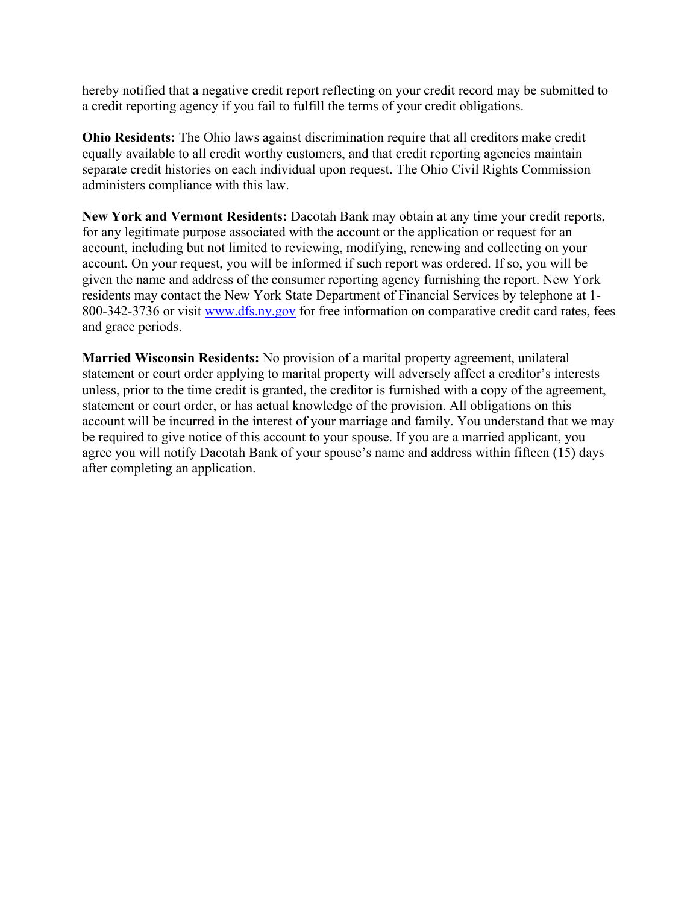hereby notified that a negative credit report reflecting on your credit record may be submitted to a credit reporting agency if you fail to fulfill the terms of your credit obligations.

Ohio Residents: The Ohio laws against discrimination require that all creditors make credit equally available to all credit worthy customers, and that credit reporting agencies maintain separate credit histories on each individual upon request. The Ohio Civil Rights Commission administers compliance with this law.

New York and Vermont Residents: Dacotah Bank may obtain at any time your credit reports, for any legitimate purpose associated with the account or the application or request for an account, including but not limited to reviewing, modifying, renewing and collecting on your account. On your request, you will be informed if such report was ordered. If so, you will be given the name and address of the consumer reporting agency furnishing the report. New York residents may contact the New York State Department of Financial Services by telephone at 1- 800-342-3736 or visit www.dfs.ny.gov for free information on comparative credit card rates, fees and grace periods.

Married Wisconsin Residents: No provision of a marital property agreement, unilateral statement or court order applying to marital property will adversely affect a creditor's interests unless, prior to the time credit is granted, the creditor is furnished with a copy of the agreement, statement or court order, or has actual knowledge of the provision. All obligations on this account will be incurred in the interest of your marriage and family. You understand that we may be required to give notice of this account to your spouse. If you are a married applicant, you agree you will notify Dacotah Bank of your spouse's name and address within fifteen (15) days after completing an application.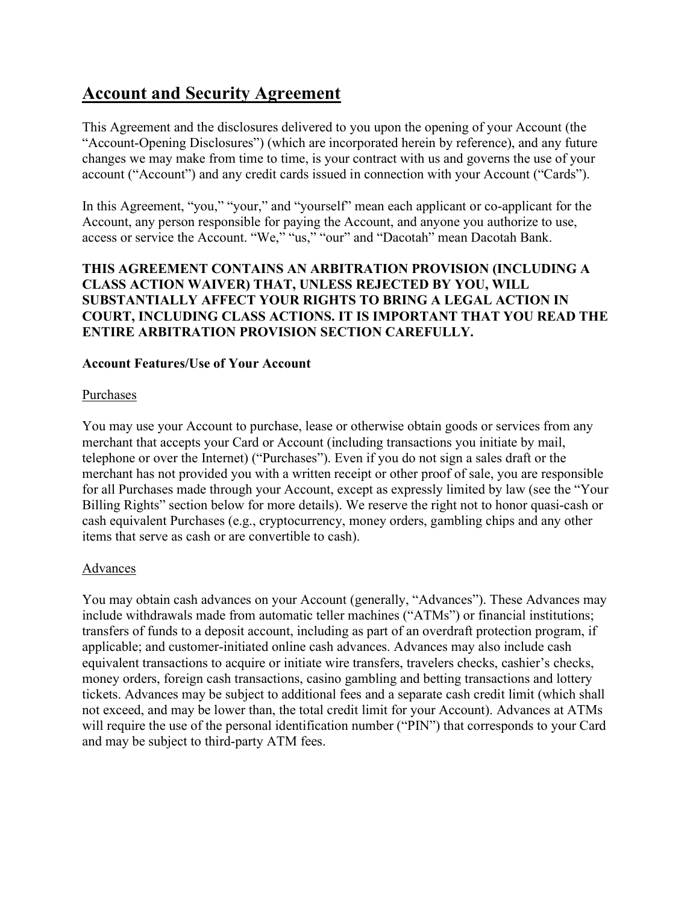# Account and Security Agreement

This Agreement and the disclosures delivered to you upon the opening of your Account (the "Account-Opening Disclosures") (which are incorporated herein by reference), and any future changes we may make from time to time, is your contract with us and governs the use of your account ("Account") and any credit cards issued in connection with your Account ("Cards").

In this Agreement, "you," "your," and "yourself" mean each applicant or co-applicant for the Account, any person responsible for paying the Account, and anyone you authorize to use, access or service the Account. "We," "us," "our" and "Dacotah" mean Dacotah Bank.

## THIS AGREEMENT CONTAINS AN ARBITRATION PROVISION (INCLUDING A CLASS ACTION WAIVER) THAT, UNLESS REJECTED BY YOU, WILL SUBSTANTIALLY AFFECT YOUR RIGHTS TO BRING A LEGAL ACTION IN COURT, INCLUDING CLASS ACTIONS. IT IS IMPORTANT THAT YOU READ THE ENTIRE ARBITRATION PROVISION SECTION CAREFULLY.

## Account Features/Use of Your Account

## Purchases

You may use your Account to purchase, lease or otherwise obtain goods or services from any merchant that accepts your Card or Account (including transactions you initiate by mail, telephone or over the Internet) ("Purchases"). Even if you do not sign a sales draft or the merchant has not provided you with a written receipt or other proof of sale, you are responsible for all Purchases made through your Account, except as expressly limited by law (see the "Your Billing Rights" section below for more details). We reserve the right not to honor quasi-cash or cash equivalent Purchases (e.g., cryptocurrency, money orders, gambling chips and any other items that serve as cash or are convertible to cash).

## Advances

You may obtain cash advances on your Account (generally, "Advances"). These Advances may include withdrawals made from automatic teller machines ("ATMs") or financial institutions; transfers of funds to a deposit account, including as part of an overdraft protection program, if applicable; and customer-initiated online cash advances. Advances may also include cash equivalent transactions to acquire or initiate wire transfers, travelers checks, cashier's checks, money orders, foreign cash transactions, casino gambling and betting transactions and lottery tickets. Advances may be subject to additional fees and a separate cash credit limit (which shall not exceed, and may be lower than, the total credit limit for your Account). Advances at ATMs will require the use of the personal identification number ("PIN") that corresponds to your Card and may be subject to third-party ATM fees.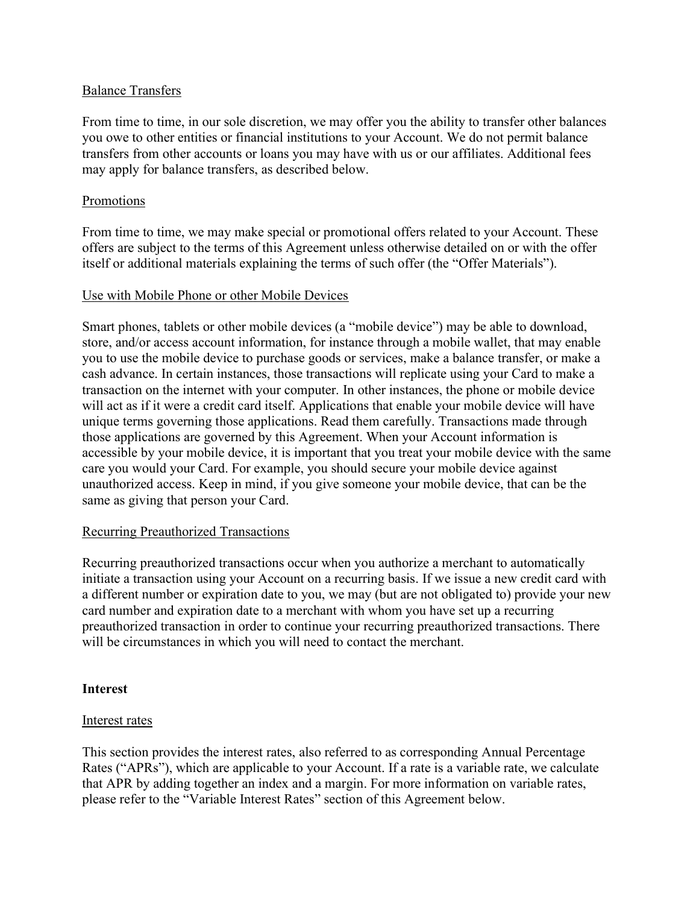#### Balance Transfers

From time to time, in our sole discretion, we may offer you the ability to transfer other balances you owe to other entities or financial institutions to your Account. We do not permit balance transfers from other accounts or loans you may have with us or our affiliates. Additional fees may apply for balance transfers, as described below.

#### Promotions

From time to time, we may make special or promotional offers related to your Account. These offers are subject to the terms of this Agreement unless otherwise detailed on or with the offer itself or additional materials explaining the terms of such offer (the "Offer Materials").

#### Use with Mobile Phone or other Mobile Devices

Smart phones, tablets or other mobile devices (a "mobile device") may be able to download, store, and/or access account information, for instance through a mobile wallet, that may enable you to use the mobile device to purchase goods or services, make a balance transfer, or make a cash advance. In certain instances, those transactions will replicate using your Card to make a transaction on the internet with your computer. In other instances, the phone or mobile device will act as if it were a credit card itself. Applications that enable your mobile device will have unique terms governing those applications. Read them carefully. Transactions made through those applications are governed by this Agreement. When your Account information is accessible by your mobile device, it is important that you treat your mobile device with the same care you would your Card. For example, you should secure your mobile device against unauthorized access. Keep in mind, if you give someone your mobile device, that can be the same as giving that person your Card.

#### Recurring Preauthorized Transactions

Recurring preauthorized transactions occur when you authorize a merchant to automatically initiate a transaction using your Account on a recurring basis. If we issue a new credit card with a different number or expiration date to you, we may (but are not obligated to) provide your new card number and expiration date to a merchant with whom you have set up a recurring preauthorized transaction in order to continue your recurring preauthorized transactions. There will be circumstances in which you will need to contact the merchant.

#### **Interest**

#### Interest rates

This section provides the interest rates, also referred to as corresponding Annual Percentage Rates ("APRs"), which are applicable to your Account. If a rate is a variable rate, we calculate that APR by adding together an index and a margin. For more information on variable rates, please refer to the "Variable Interest Rates" section of this Agreement below.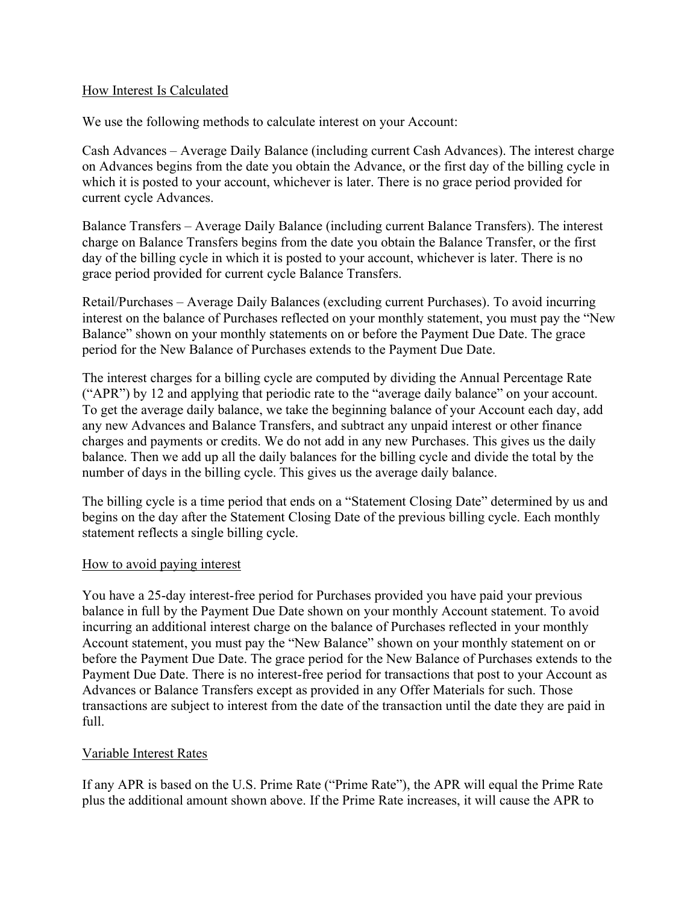## How Interest Is Calculated

We use the following methods to calculate interest on your Account:

Cash Advances – Average Daily Balance (including current Cash Advances). The interest charge on Advances begins from the date you obtain the Advance, or the first day of the billing cycle in which it is posted to your account, whichever is later. There is no grace period provided for current cycle Advances.

Balance Transfers – Average Daily Balance (including current Balance Transfers). The interest charge on Balance Transfers begins from the date you obtain the Balance Transfer, or the first day of the billing cycle in which it is posted to your account, whichever is later. There is no grace period provided for current cycle Balance Transfers.

Retail/Purchases – Average Daily Balances (excluding current Purchases). To avoid incurring interest on the balance of Purchases reflected on your monthly statement, you must pay the "New Balance" shown on your monthly statements on or before the Payment Due Date. The grace period for the New Balance of Purchases extends to the Payment Due Date.

The interest charges for a billing cycle are computed by dividing the Annual Percentage Rate ("APR") by 12 and applying that periodic rate to the "average daily balance" on your account. To get the average daily balance, we take the beginning balance of your Account each day, add any new Advances and Balance Transfers, and subtract any unpaid interest or other finance charges and payments or credits. We do not add in any new Purchases. This gives us the daily balance. Then we add up all the daily balances for the billing cycle and divide the total by the number of days in the billing cycle. This gives us the average daily balance.

The billing cycle is a time period that ends on a "Statement Closing Date" determined by us and begins on the day after the Statement Closing Date of the previous billing cycle. Each monthly statement reflects a single billing cycle.

#### How to avoid paying interest

You have a 25-day interest-free period for Purchases provided you have paid your previous balance in full by the Payment Due Date shown on your monthly Account statement. To avoid incurring an additional interest charge on the balance of Purchases reflected in your monthly Account statement, you must pay the "New Balance" shown on your monthly statement on or before the Payment Due Date. The grace period for the New Balance of Purchases extends to the Payment Due Date. There is no interest-free period for transactions that post to your Account as Advances or Balance Transfers except as provided in any Offer Materials for such. Those transactions are subject to interest from the date of the transaction until the date they are paid in full.

#### Variable Interest Rates

If any APR is based on the U.S. Prime Rate ("Prime Rate"), the APR will equal the Prime Rate plus the additional amount shown above. If the Prime Rate increases, it will cause the APR to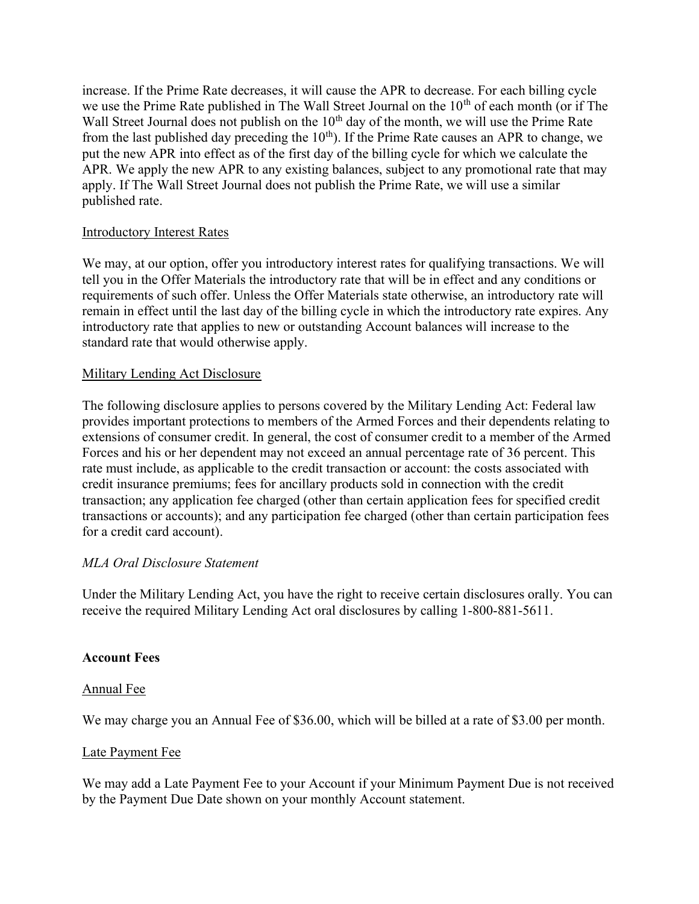increase. If the Prime Rate decreases, it will cause the APR to decrease. For each billing cycle we use the Prime Rate published in The Wall Street Journal on the  $10<sup>th</sup>$  of each month (or if The Wall Street Journal does not publish on the  $10<sup>th</sup>$  day of the month, we will use the Prime Rate from the last published day preceding the  $10<sup>th</sup>$ ). If the Prime Rate causes an APR to change, we put the new APR into effect as of the first day of the billing cycle for which we calculate the APR. We apply the new APR to any existing balances, subject to any promotional rate that may apply. If The Wall Street Journal does not publish the Prime Rate, we will use a similar published rate.

## Introductory Interest Rates

We may, at our option, offer you introductory interest rates for qualifying transactions. We will tell you in the Offer Materials the introductory rate that will be in effect and any conditions or requirements of such offer. Unless the Offer Materials state otherwise, an introductory rate will remain in effect until the last day of the billing cycle in which the introductory rate expires. Any introductory rate that applies to new or outstanding Account balances will increase to the standard rate that would otherwise apply.

## Military Lending Act Disclosure

The following disclosure applies to persons covered by the Military Lending Act: Federal law provides important protections to members of the Armed Forces and their dependents relating to extensions of consumer credit. In general, the cost of consumer credit to a member of the Armed Forces and his or her dependent may not exceed an annual percentage rate of 36 percent. This rate must include, as applicable to the credit transaction or account: the costs associated with credit insurance premiums; fees for ancillary products sold in connection with the credit transaction; any application fee charged (other than certain application fees for specified credit transactions or accounts); and any participation fee charged (other than certain participation fees for a credit card account).

#### MLA Oral Disclosure Statement

Under the Military Lending Act, you have the right to receive certain disclosures orally. You can receive the required Military Lending Act oral disclosures by calling 1-800-881-5611.

#### Account Fees

#### Annual Fee

We may charge you an Annual Fee of \$36.00, which will be billed at a rate of \$3.00 per month.

#### Late Payment Fee

We may add a Late Payment Fee to your Account if your Minimum Payment Due is not received by the Payment Due Date shown on your monthly Account statement.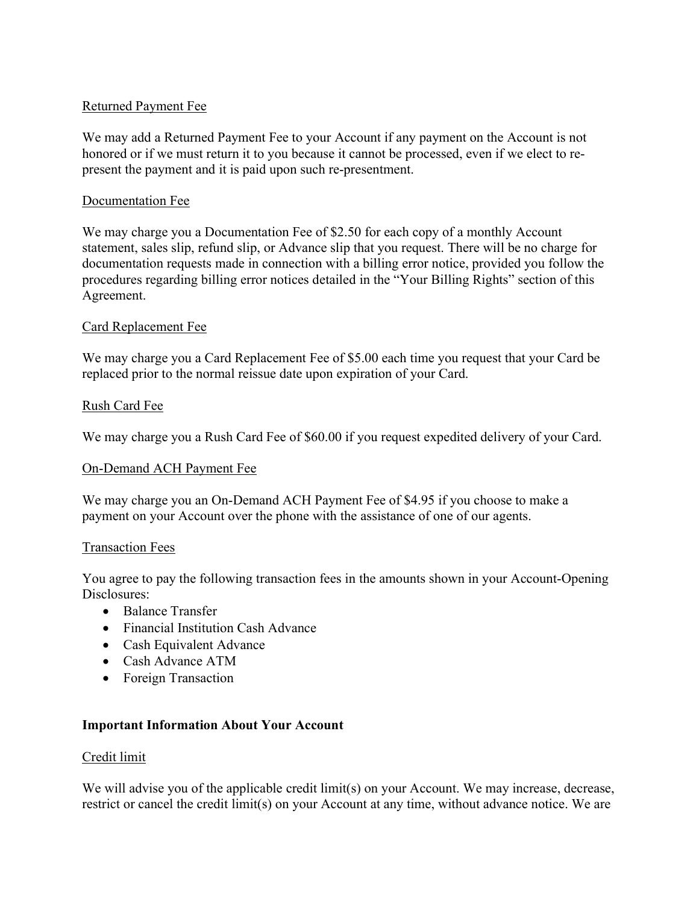## Returned Payment Fee

We may add a Returned Payment Fee to your Account if any payment on the Account is not honored or if we must return it to you because it cannot be processed, even if we elect to represent the payment and it is paid upon such re-presentment.

## Documentation Fee

We may charge you a Documentation Fee of \$2.50 for each copy of a monthly Account statement, sales slip, refund slip, or Advance slip that you request. There will be no charge for documentation requests made in connection with a billing error notice, provided you follow the procedures regarding billing error notices detailed in the "Your Billing Rights" section of this Agreement.

## Card Replacement Fee

We may charge you a Card Replacement Fee of \$5.00 each time you request that your Card be replaced prior to the normal reissue date upon expiration of your Card.

## Rush Card Fee

We may charge you a Rush Card Fee of \$60.00 if you request expedited delivery of your Card.

#### On-Demand ACH Payment Fee

We may charge you an On-Demand ACH Payment Fee of \$4.95 if you choose to make a payment on your Account over the phone with the assistance of one of our agents.

#### Transaction Fees

You agree to pay the following transaction fees in the amounts shown in your Account-Opening Disclosures:

- Balance Transfer
- Financial Institution Cash Advance
- Cash Equivalent Advance
- Cash Advance ATM
- Foreign Transaction

#### Important Information About Your Account

#### Credit limit

We will advise you of the applicable credit limit(s) on your Account. We may increase, decrease, restrict or cancel the credit limit(s) on your Account at any time, without advance notice. We are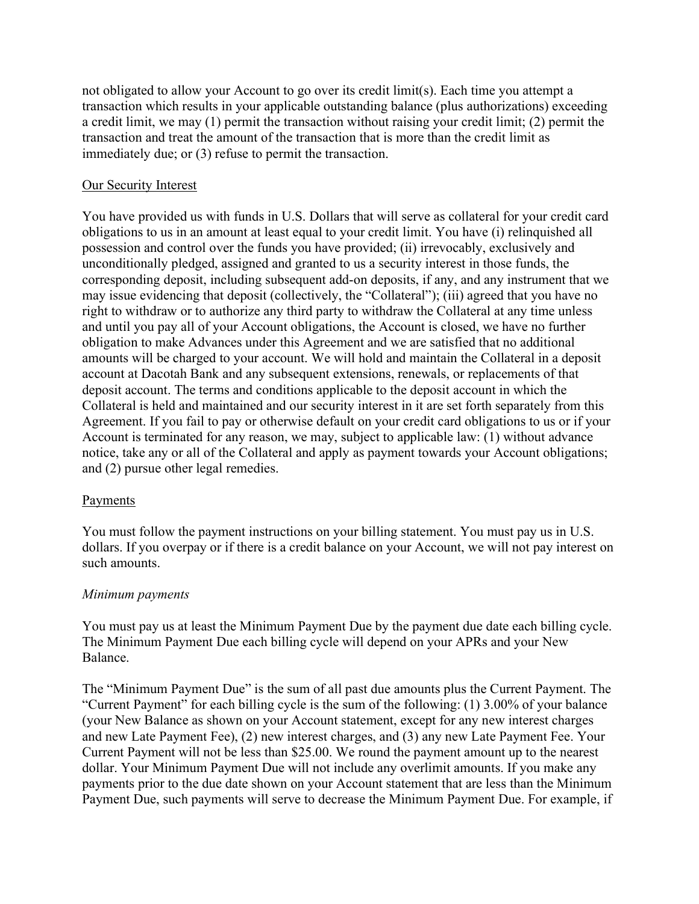not obligated to allow your Account to go over its credit limit(s). Each time you attempt a transaction which results in your applicable outstanding balance (plus authorizations) exceeding a credit limit, we may (1) permit the transaction without raising your credit limit; (2) permit the transaction and treat the amount of the transaction that is more than the credit limit as immediately due; or (3) refuse to permit the transaction.

## Our Security Interest

You have provided us with funds in U.S. Dollars that will serve as collateral for your credit card obligations to us in an amount at least equal to your credit limit. You have (i) relinquished all possession and control over the funds you have provided; (ii) irrevocably, exclusively and unconditionally pledged, assigned and granted to us a security interest in those funds, the corresponding deposit, including subsequent add-on deposits, if any, and any instrument that we may issue evidencing that deposit (collectively, the "Collateral"); (iii) agreed that you have no right to withdraw or to authorize any third party to withdraw the Collateral at any time unless and until you pay all of your Account obligations, the Account is closed, we have no further obligation to make Advances under this Agreement and we are satisfied that no additional amounts will be charged to your account. We will hold and maintain the Collateral in a deposit account at Dacotah Bank and any subsequent extensions, renewals, or replacements of that deposit account. The terms and conditions applicable to the deposit account in which the Collateral is held and maintained and our security interest in it are set forth separately from this Agreement. If you fail to pay or otherwise default on your credit card obligations to us or if your Account is terminated for any reason, we may, subject to applicable law: (1) without advance notice, take any or all of the Collateral and apply as payment towards your Account obligations; and (2) pursue other legal remedies.

#### Payments

You must follow the payment instructions on your billing statement. You must pay us in U.S. dollars. If you overpay or if there is a credit balance on your Account, we will not pay interest on such amounts.

#### Minimum payments

You must pay us at least the Minimum Payment Due by the payment due date each billing cycle. The Minimum Payment Due each billing cycle will depend on your APRs and your New Balance.

The "Minimum Payment Due" is the sum of all past due amounts plus the Current Payment. The "Current Payment" for each billing cycle is the sum of the following: (1) 3.00% of your balance (your New Balance as shown on your Account statement, except for any new interest charges and new Late Payment Fee), (2) new interest charges, and (3) any new Late Payment Fee. Your Current Payment will not be less than \$25.00. We round the payment amount up to the nearest dollar. Your Minimum Payment Due will not include any overlimit amounts. If you make any payments prior to the due date shown on your Account statement that are less than the Minimum Payment Due, such payments will serve to decrease the Minimum Payment Due. For example, if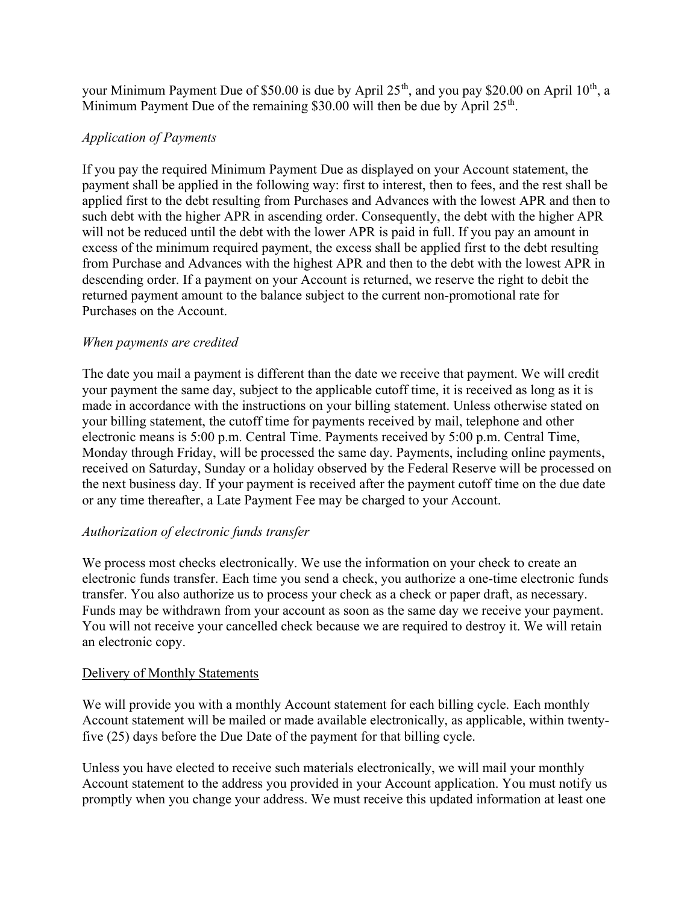your Minimum Payment Due of \$50.00 is due by April  $25<sup>th</sup>$ , and you pay \$20.00 on April 10<sup>th</sup>, a Minimum Payment Due of the remaining \$30.00 will then be due by April  $25<sup>th</sup>$ .

## Application of Payments

If you pay the required Minimum Payment Due as displayed on your Account statement, the payment shall be applied in the following way: first to interest, then to fees, and the rest shall be applied first to the debt resulting from Purchases and Advances with the lowest APR and then to such debt with the higher APR in ascending order. Consequently, the debt with the higher APR will not be reduced until the debt with the lower APR is paid in full. If you pay an amount in excess of the minimum required payment, the excess shall be applied first to the debt resulting from Purchase and Advances with the highest APR and then to the debt with the lowest APR in descending order. If a payment on your Account is returned, we reserve the right to debit the returned payment amount to the balance subject to the current non-promotional rate for Purchases on the Account.

## When payments are credited

The date you mail a payment is different than the date we receive that payment. We will credit your payment the same day, subject to the applicable cutoff time, it is received as long as it is made in accordance with the instructions on your billing statement. Unless otherwise stated on your billing statement, the cutoff time for payments received by mail, telephone and other electronic means is 5:00 p.m. Central Time. Payments received by 5:00 p.m. Central Time, Monday through Friday, will be processed the same day. Payments, including online payments, received on Saturday, Sunday or a holiday observed by the Federal Reserve will be processed on the next business day. If your payment is received after the payment cutoff time on the due date or any time thereafter, a Late Payment Fee may be charged to your Account.

## Authorization of electronic funds transfer

We process most checks electronically. We use the information on your check to create an electronic funds transfer. Each time you send a check, you authorize a one-time electronic funds transfer. You also authorize us to process your check as a check or paper draft, as necessary. Funds may be withdrawn from your account as soon as the same day we receive your payment. You will not receive your cancelled check because we are required to destroy it. We will retain an electronic copy.

#### Delivery of Monthly Statements

We will provide you with a monthly Account statement for each billing cycle. Each monthly Account statement will be mailed or made available electronically, as applicable, within twentyfive (25) days before the Due Date of the payment for that billing cycle.

Unless you have elected to receive such materials electronically, we will mail your monthly Account statement to the address you provided in your Account application. You must notify us promptly when you change your address. We must receive this updated information at least one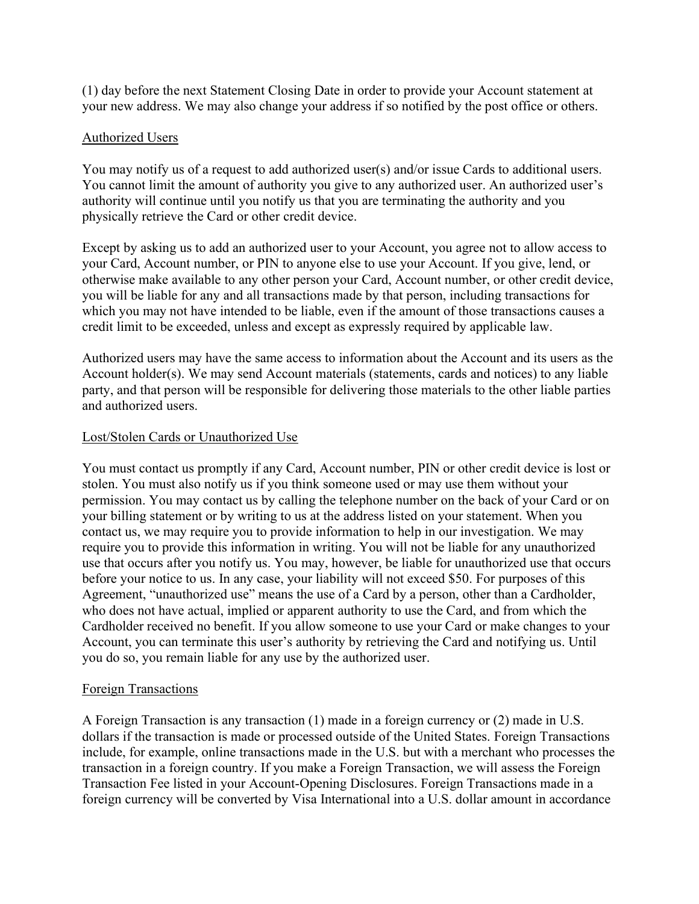(1) day before the next Statement Closing Date in order to provide your Account statement at your new address. We may also change your address if so notified by the post office or others.

## Authorized Users

You may notify us of a request to add authorized user(s) and/or issue Cards to additional users. You cannot limit the amount of authority you give to any authorized user. An authorized user's authority will continue until you notify us that you are terminating the authority and you physically retrieve the Card or other credit device.

Except by asking us to add an authorized user to your Account, you agree not to allow access to your Card, Account number, or PIN to anyone else to use your Account. If you give, lend, or otherwise make available to any other person your Card, Account number, or other credit device, you will be liable for any and all transactions made by that person, including transactions for which you may not have intended to be liable, even if the amount of those transactions causes a credit limit to be exceeded, unless and except as expressly required by applicable law.

Authorized users may have the same access to information about the Account and its users as the Account holder(s). We may send Account materials (statements, cards and notices) to any liable party, and that person will be responsible for delivering those materials to the other liable parties and authorized users.

## Lost/Stolen Cards or Unauthorized Use

You must contact us promptly if any Card, Account number, PIN or other credit device is lost or stolen. You must also notify us if you think someone used or may use them without your permission. You may contact us by calling the telephone number on the back of your Card or on your billing statement or by writing to us at the address listed on your statement. When you contact us, we may require you to provide information to help in our investigation. We may require you to provide this information in writing. You will not be liable for any unauthorized use that occurs after you notify us. You may, however, be liable for unauthorized use that occurs before your notice to us. In any case, your liability will not exceed \$50. For purposes of this Agreement, "unauthorized use" means the use of a Card by a person, other than a Cardholder, who does not have actual, implied or apparent authority to use the Card, and from which the Cardholder received no benefit. If you allow someone to use your Card or make changes to your Account, you can terminate this user's authority by retrieving the Card and notifying us. Until you do so, you remain liable for any use by the authorized user.

#### Foreign Transactions

A Foreign Transaction is any transaction (1) made in a foreign currency or (2) made in U.S. dollars if the transaction is made or processed outside of the United States. Foreign Transactions include, for example, online transactions made in the U.S. but with a merchant who processes the transaction in a foreign country. If you make a Foreign Transaction, we will assess the Foreign Transaction Fee listed in your Account-Opening Disclosures. Foreign Transactions made in a foreign currency will be converted by Visa International into a U.S. dollar amount in accordance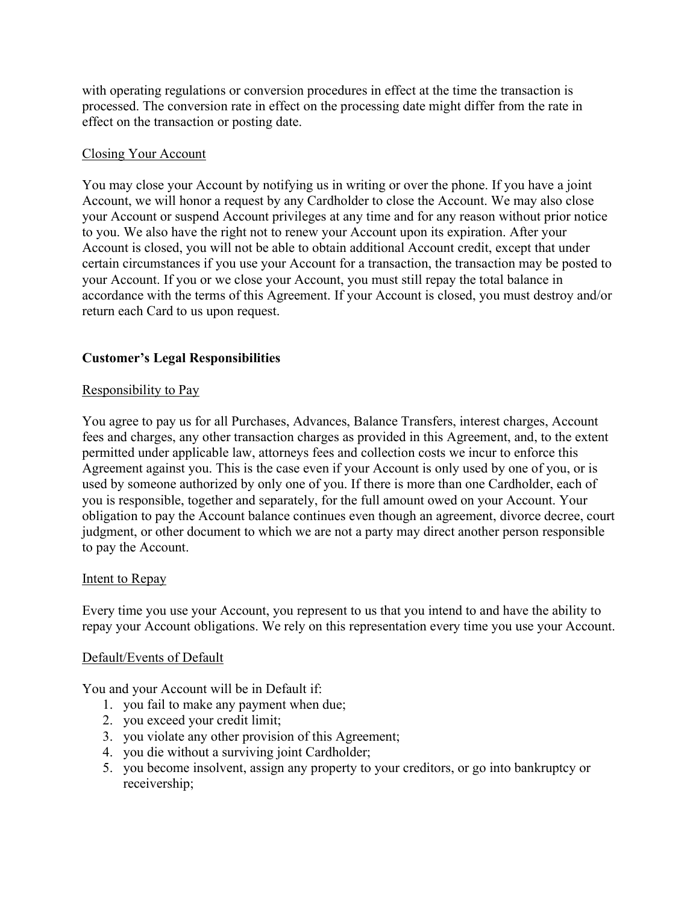with operating regulations or conversion procedures in effect at the time the transaction is processed. The conversion rate in effect on the processing date might differ from the rate in effect on the transaction or posting date.

## Closing Your Account

You may close your Account by notifying us in writing or over the phone. If you have a joint Account, we will honor a request by any Cardholder to close the Account. We may also close your Account or suspend Account privileges at any time and for any reason without prior notice to you. We also have the right not to renew your Account upon its expiration. After your Account is closed, you will not be able to obtain additional Account credit, except that under certain circumstances if you use your Account for a transaction, the transaction may be posted to your Account. If you or we close your Account, you must still repay the total balance in accordance with the terms of this Agreement. If your Account is closed, you must destroy and/or return each Card to us upon request.

## Customer's Legal Responsibilities

## Responsibility to Pay

You agree to pay us for all Purchases, Advances, Balance Transfers, interest charges, Account fees and charges, any other transaction charges as provided in this Agreement, and, to the extent permitted under applicable law, attorneys fees and collection costs we incur to enforce this Agreement against you. This is the case even if your Account is only used by one of you, or is used by someone authorized by only one of you. If there is more than one Cardholder, each of you is responsible, together and separately, for the full amount owed on your Account. Your obligation to pay the Account balance continues even though an agreement, divorce decree, court judgment, or other document to which we are not a party may direct another person responsible to pay the Account.

#### Intent to Repay

Every time you use your Account, you represent to us that you intend to and have the ability to repay your Account obligations. We rely on this representation every time you use your Account.

#### Default/Events of Default

You and your Account will be in Default if:

- 1. you fail to make any payment when due;
- 2. you exceed your credit limit;
- 3. you violate any other provision of this Agreement;
- 4. you die without a surviving joint Cardholder;
- 5. you become insolvent, assign any property to your creditors, or go into bankruptcy or receivership;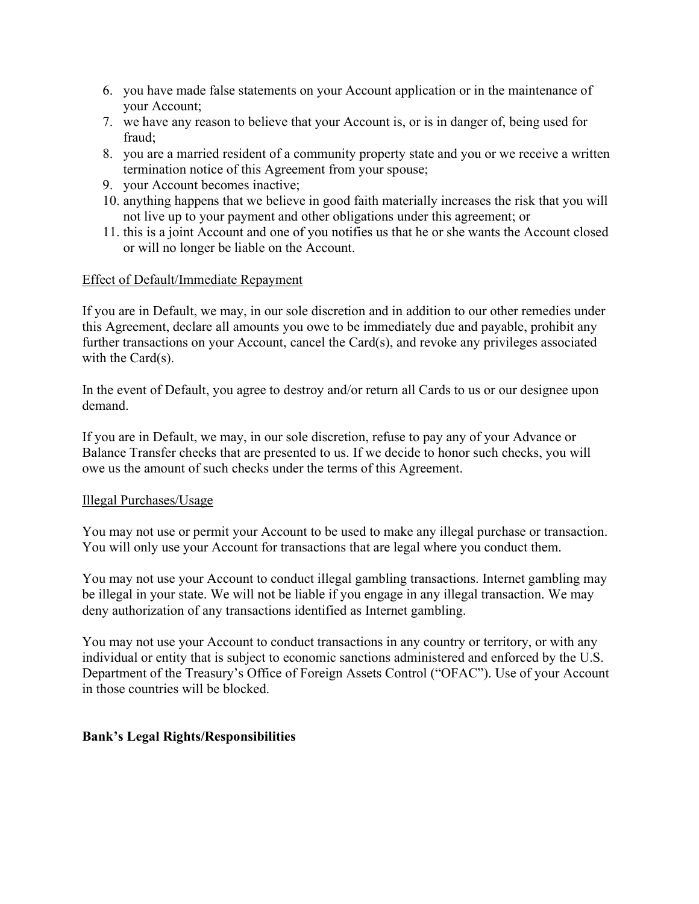- 6. you have made false statements on your Account application or in the maintenance of your Account;
- 7. we have any reason to believe that your Account is, or is in danger of, being used for fraud;
- 8. you are a married resident of a community property state and you or we receive a written termination notice of this Agreement from your spouse;
- 9. your Account becomes inactive;
- 10. anything happens that we believe in good faith materially increases the risk that you will not live up to your payment and other obligations under this agreement; or
- 11. this is a joint Account and one of you notifies us that he or she wants the Account closed or will no longer be liable on the Account.

#### Effect of Default/Immediate Repayment

If you are in Default, we may, in our sole discretion and in addition to our other remedies under this Agreement, declare all amounts you owe to be immediately due and payable, prohibit any further transactions on your Account, cancel the Card(s), and revoke any privileges associated with the Card(s).

In the event of Default, you agree to destroy and/or return all Cards to us or our designee upon demand.

If you are in Default, we may, in our sole discretion, refuse to pay any of your Advance or Balance Transfer checks that are presented to us. If we decide to honor such checks, you will owe us the amount of such checks under the terms of this Agreement.

#### Illegal Purchases/Usage

You may not use or permit your Account to be used to make any illegal purchase or transaction. You will only use your Account for transactions that are legal where you conduct them.

You may not use your Account to conduct illegal gambling transactions. Internet gambling may be illegal in your state. We will not be liable if you engage in any illegal transaction. We may deny authorization of any transactions identified as Internet gambling.

You may not use your Account to conduct transactions in any country or territory, or with any individual or entity that is subject to economic sanctions administered and enforced by the U.S. Department of the Treasury's Office of Foreign Assets Control ("OFAC"). Use of your Account in those countries will be blocked.

#### Bank's Legal Rights/Responsibilities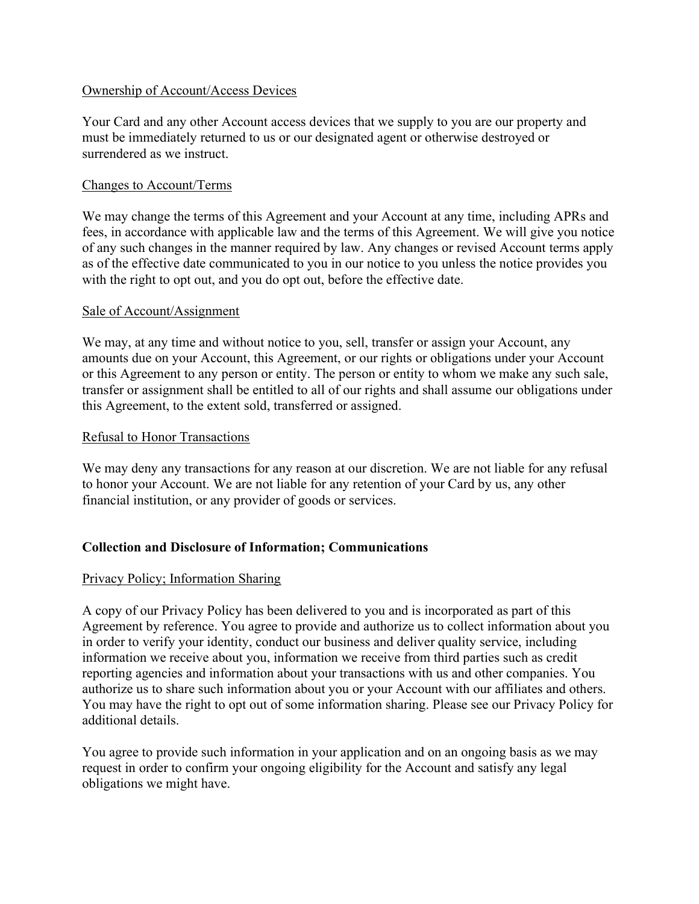#### Ownership of Account/Access Devices

Your Card and any other Account access devices that we supply to you are our property and must be immediately returned to us or our designated agent or otherwise destroyed or surrendered as we instruct.

## Changes to Account/Terms

We may change the terms of this Agreement and your Account at any time, including APRs and fees, in accordance with applicable law and the terms of this Agreement. We will give you notice of any such changes in the manner required by law. Any changes or revised Account terms apply as of the effective date communicated to you in our notice to you unless the notice provides you with the right to opt out, and you do opt out, before the effective date.

#### Sale of Account/Assignment

We may, at any time and without notice to you, sell, transfer or assign your Account, any amounts due on your Account, this Agreement, or our rights or obligations under your Account or this Agreement to any person or entity. The person or entity to whom we make any such sale, transfer or assignment shall be entitled to all of our rights and shall assume our obligations under this Agreement, to the extent sold, transferred or assigned.

#### Refusal to Honor Transactions

We may deny any transactions for any reason at our discretion. We are not liable for any refusal to honor your Account. We are not liable for any retention of your Card by us, any other financial institution, or any provider of goods or services.

## Collection and Disclosure of Information; Communications

#### Privacy Policy; Information Sharing

A copy of our Privacy Policy has been delivered to you and is incorporated as part of this Agreement by reference. You agree to provide and authorize us to collect information about you in order to verify your identity, conduct our business and deliver quality service, including information we receive about you, information we receive from third parties such as credit reporting agencies and information about your transactions with us and other companies. You authorize us to share such information about you or your Account with our affiliates and others. You may have the right to opt out of some information sharing. Please see our Privacy Policy for additional details.

You agree to provide such information in your application and on an ongoing basis as we may request in order to confirm your ongoing eligibility for the Account and satisfy any legal obligations we might have.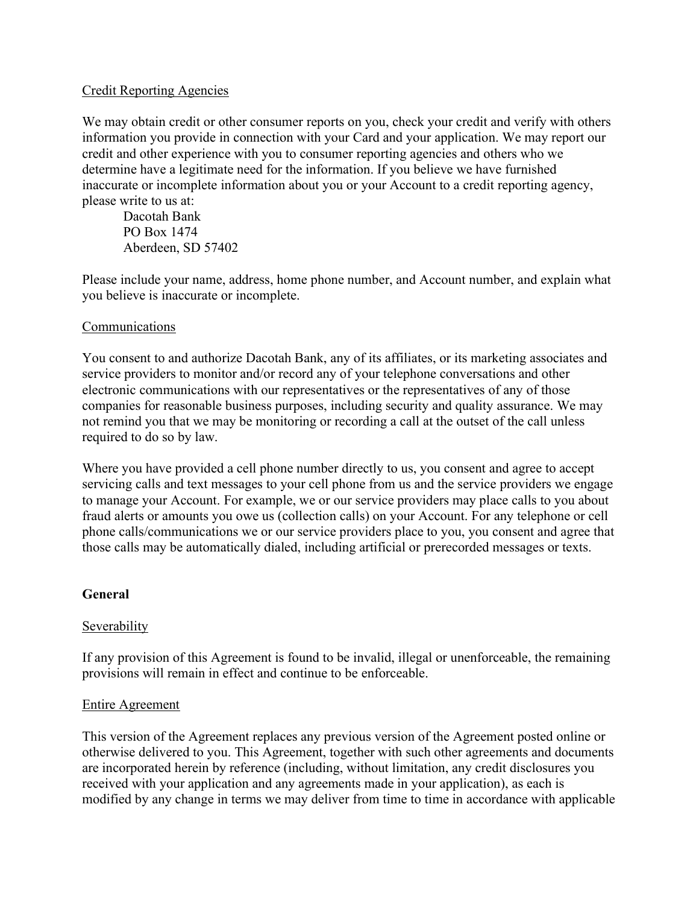## Credit Reporting Agencies

We may obtain credit or other consumer reports on you, check your credit and verify with others information you provide in connection with your Card and your application. We may report our credit and other experience with you to consumer reporting agencies and others who we determine have a legitimate need for the information. If you believe we have furnished inaccurate or incomplete information about you or your Account to a credit reporting agency, please write to us at:

Dacotah Bank PO Box 1474 Aberdeen, SD 57402

Please include your name, address, home phone number, and Account number, and explain what you believe is inaccurate or incomplete.

## Communications

You consent to and authorize Dacotah Bank, any of its affiliates, or its marketing associates and service providers to monitor and/or record any of your telephone conversations and other electronic communications with our representatives or the representatives of any of those companies for reasonable business purposes, including security and quality assurance. We may not remind you that we may be monitoring or recording a call at the outset of the call unless required to do so by law.

Where you have provided a cell phone number directly to us, you consent and agree to accept servicing calls and text messages to your cell phone from us and the service providers we engage to manage your Account. For example, we or our service providers may place calls to you about fraud alerts or amounts you owe us (collection calls) on your Account. For any telephone or cell phone calls/communications we or our service providers place to you, you consent and agree that those calls may be automatically dialed, including artificial or prerecorded messages or texts.

## General

#### Severability

If any provision of this Agreement is found to be invalid, illegal or unenforceable, the remaining provisions will remain in effect and continue to be enforceable.

#### Entire Agreement

This version of the Agreement replaces any previous version of the Agreement posted online or otherwise delivered to you. This Agreement, together with such other agreements and documents are incorporated herein by reference (including, without limitation, any credit disclosures you received with your application and any agreements made in your application), as each is modified by any change in terms we may deliver from time to time in accordance with applicable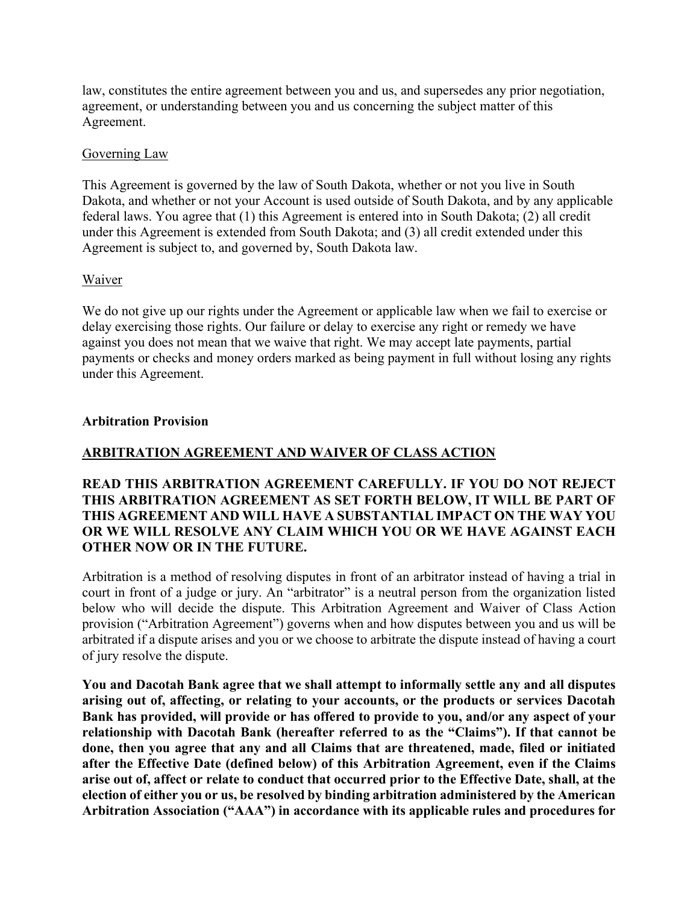law, constitutes the entire agreement between you and us, and supersedes any prior negotiation, agreement, or understanding between you and us concerning the subject matter of this Agreement.

#### Governing Law

This Agreement is governed by the law of South Dakota, whether or not you live in South Dakota, and whether or not your Account is used outside of South Dakota, and by any applicable federal laws. You agree that (1) this Agreement is entered into in South Dakota; (2) all credit under this Agreement is extended from South Dakota; and (3) all credit extended under this Agreement is subject to, and governed by, South Dakota law.

#### Waiver

We do not give up our rights under the Agreement or applicable law when we fail to exercise or delay exercising those rights. Our failure or delay to exercise any right or remedy we have against you does not mean that we waive that right. We may accept late payments, partial payments or checks and money orders marked as being payment in full without losing any rights under this Agreement.

#### Arbitration Provision

## ARBITRATION AGREEMENT AND WAIVER OF CLASS ACTION

## READ THIS ARBITRATION AGREEMENT CAREFULLY. IF YOU DO NOT REJECT THIS ARBITRATION AGREEMENT AS SET FORTH BELOW, IT WILL BE PART OF THIS AGREEMENT AND WILL HAVE A SUBSTANTIAL IMPACT ON THE WAY YOU OR WE WILL RESOLVE ANY CLAIM WHICH YOU OR WE HAVE AGAINST EACH OTHER NOW OR IN THE FUTURE.

Arbitration is a method of resolving disputes in front of an arbitrator instead of having a trial in court in front of a judge or jury. An "arbitrator" is a neutral person from the organization listed below who will decide the dispute. This Arbitration Agreement and Waiver of Class Action provision ("Arbitration Agreement") governs when and how disputes between you and us will be arbitrated if a dispute arises and you or we choose to arbitrate the dispute instead of having a court of jury resolve the dispute.

You and Dacotah Bank agree that we shall attempt to informally settle any and all disputes arising out of, affecting, or relating to your accounts, or the products or services Dacotah Bank has provided, will provide or has offered to provide to you, and/or any aspect of your relationship with Dacotah Bank (hereafter referred to as the "Claims"). If that cannot be done, then you agree that any and all Claims that are threatened, made, filed or initiated after the Effective Date (defined below) of this Arbitration Agreement, even if the Claims arise out of, affect or relate to conduct that occurred prior to the Effective Date, shall, at the election of either you or us, be resolved by binding arbitration administered by the American Arbitration Association ("AAA") in accordance with its applicable rules and procedures for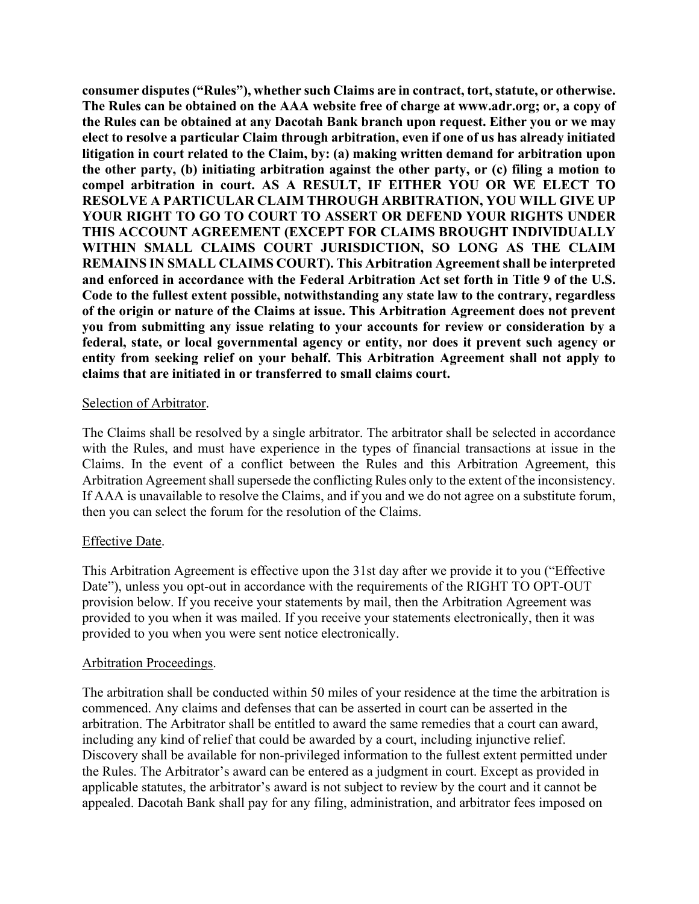consumer disputes ("Rules"), whether such Claims are in contract, tort, statute, or otherwise. The Rules can be obtained on the AAA website free of charge at www.adr.org; or, a copy of the Rules can be obtained at any Dacotah Bank branch upon request. Either you or we may elect to resolve a particular Claim through arbitration, even if one of us has already initiated litigation in court related to the Claim, by: (a) making written demand for arbitration upon the other party, (b) initiating arbitration against the other party, or (c) filing a motion to compel arbitration in court. AS A RESULT, IF EITHER YOU OR WE ELECT TO RESOLVE A PARTICULAR CLAIM THROUGH ARBITRATION, YOU WILL GIVE UP YOUR RIGHT TO GO TO COURT TO ASSERT OR DEFEND YOUR RIGHTS UNDER THIS ACCOUNT AGREEMENT (EXCEPT FOR CLAIMS BROUGHT INDIVIDUALLY WITHIN SMALL CLAIMS COURT JURISDICTION, SO LONG AS THE CLAIM REMAINS IN SMALL CLAIMS COURT). This Arbitration Agreement shall be interpreted and enforced in accordance with the Federal Arbitration Act set forth in Title 9 of the U.S. Code to the fullest extent possible, notwithstanding any state law to the contrary, regardless of the origin or nature of the Claims at issue. This Arbitration Agreement does not prevent you from submitting any issue relating to your accounts for review or consideration by a federal, state, or local governmental agency or entity, nor does it prevent such agency or entity from seeking relief on your behalf. This Arbitration Agreement shall not apply to claims that are initiated in or transferred to small claims court.

#### Selection of Arbitrator.

The Claims shall be resolved by a single arbitrator. The arbitrator shall be selected in accordance with the Rules, and must have experience in the types of financial transactions at issue in the Claims. In the event of a conflict between the Rules and this Arbitration Agreement, this Arbitration Agreement shall supersede the conflicting Rules only to the extent of the inconsistency. If AAA is unavailable to resolve the Claims, and if you and we do not agree on a substitute forum, then you can select the forum for the resolution of the Claims.

#### Effective Date.

This Arbitration Agreement is effective upon the 31st day after we provide it to you ("Effective Date"), unless you opt-out in accordance with the requirements of the RIGHT TO OPT-OUT provision below. If you receive your statements by mail, then the Arbitration Agreement was provided to you when it was mailed. If you receive your statements electronically, then it was provided to you when you were sent notice electronically.

#### Arbitration Proceedings.

The arbitration shall be conducted within 50 miles of your residence at the time the arbitration is commenced. Any claims and defenses that can be asserted in court can be asserted in the arbitration. The Arbitrator shall be entitled to award the same remedies that a court can award, including any kind of relief that could be awarded by a court, including injunctive relief. Discovery shall be available for non-privileged information to the fullest extent permitted under the Rules. The Arbitrator's award can be entered as a judgment in court. Except as provided in applicable statutes, the arbitrator's award is not subject to review by the court and it cannot be appealed. Dacotah Bank shall pay for any filing, administration, and arbitrator fees imposed on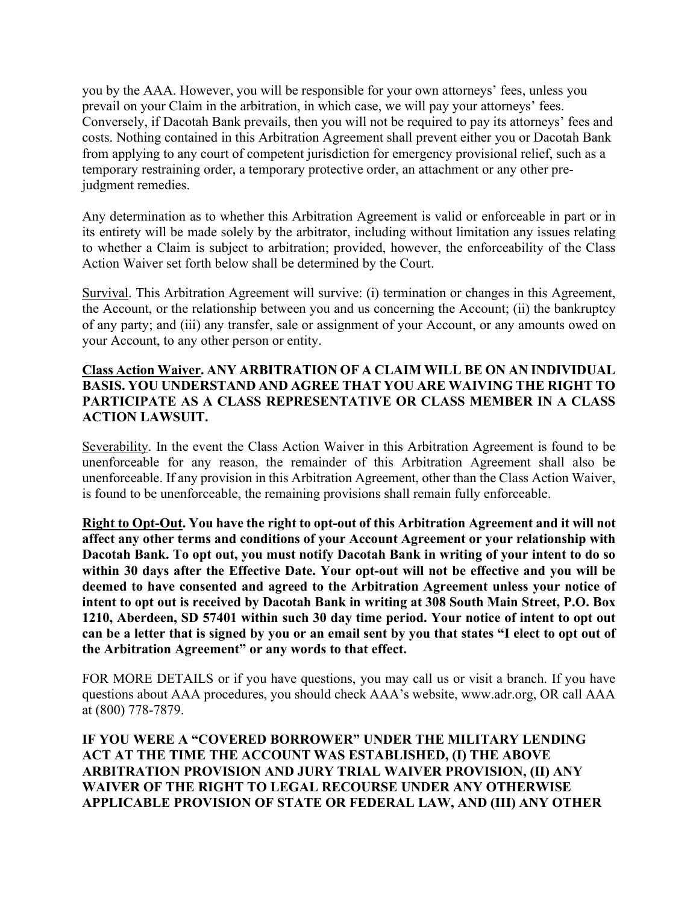you by the AAA. However, you will be responsible for your own attorneys' fees, unless you prevail on your Claim in the arbitration, in which case, we will pay your attorneys' fees. Conversely, if Dacotah Bank prevails, then you will not be required to pay its attorneys' fees and costs. Nothing contained in this Arbitration Agreement shall prevent either you or Dacotah Bank from applying to any court of competent jurisdiction for emergency provisional relief, such as a temporary restraining order, a temporary protective order, an attachment or any other prejudgment remedies.

Any determination as to whether this Arbitration Agreement is valid or enforceable in part or in its entirety will be made solely by the arbitrator, including without limitation any issues relating to whether a Claim is subject to arbitration; provided, however, the enforceability of the Class Action Waiver set forth below shall be determined by the Court.

Survival. This Arbitration Agreement will survive: (i) termination or changes in this Agreement, the Account, or the relationship between you and us concerning the Account; (ii) the bankruptcy of any party; and (iii) any transfer, sale or assignment of your Account, or any amounts owed on your Account, to any other person or entity.

## Class Action Waiver. ANY ARBITRATION OF A CLAIM WILL BE ON AN INDIVIDUAL BASIS. YOU UNDERSTAND AND AGREE THAT YOU ARE WAIVING THE RIGHT TO PARTICIPATE AS A CLASS REPRESENTATIVE OR CLASS MEMBER IN A CLASS ACTION LAWSUIT.

Severability. In the event the Class Action Waiver in this Arbitration Agreement is found to be unenforceable for any reason, the remainder of this Arbitration Agreement shall also be unenforceable. If any provision in this Arbitration Agreement, other than the Class Action Waiver, is found to be unenforceable, the remaining provisions shall remain fully enforceable.

Right to Opt-Out. You have the right to opt-out of this Arbitration Agreement and it will not affect any other terms and conditions of your Account Agreement or your relationship with Dacotah Bank. To opt out, you must notify Dacotah Bank in writing of your intent to do so within 30 days after the Effective Date. Your opt-out will not be effective and you will be deemed to have consented and agreed to the Arbitration Agreement unless your notice of intent to opt out is received by Dacotah Bank in writing at 308 South Main Street, P.O. Box 1210, Aberdeen, SD 57401 within such 30 day time period. Your notice of intent to opt out can be a letter that is signed by you or an email sent by you that states "I elect to opt out of the Arbitration Agreement" or any words to that effect.

FOR MORE DETAILS or if you have questions, you may call us or visit a branch. If you have questions about AAA procedures, you should check AAA's website, www.adr.org, OR call AAA at (800) 778-7879.

IF YOU WERE A "COVERED BORROWER" UNDER THE MILITARY LENDING ACT AT THE TIME THE ACCOUNT WAS ESTABLISHED, (I) THE ABOVE ARBITRATION PROVISION AND JURY TRIAL WAIVER PROVISION, (II) ANY WAIVER OF THE RIGHT TO LEGAL RECOURSE UNDER ANY OTHERWISE APPLICABLE PROVISION OF STATE OR FEDERAL LAW, AND (III) ANY OTHER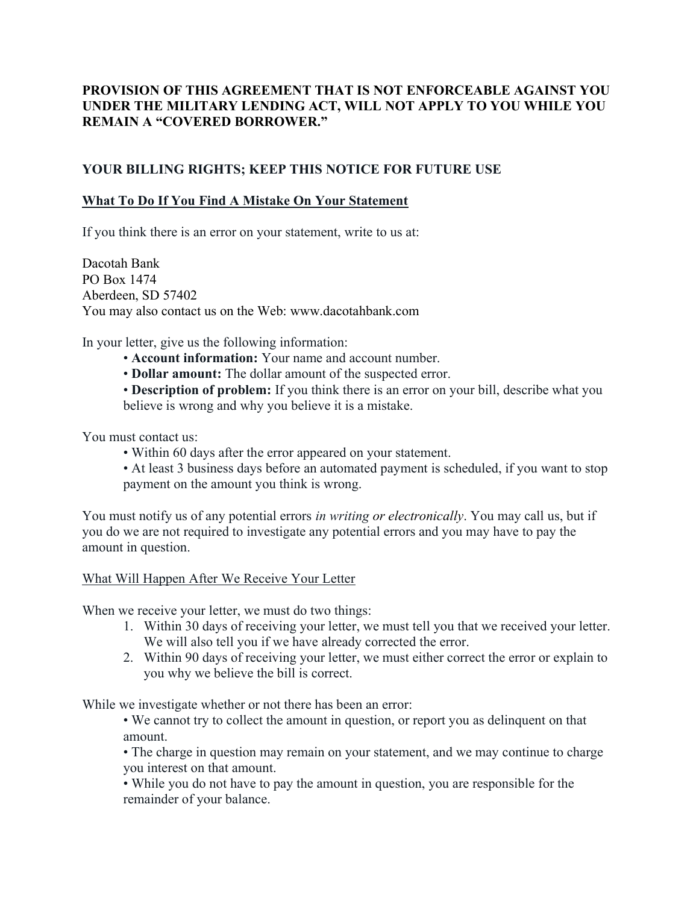# PROVISION OF THIS AGREEMENT THAT IS NOT ENFORCEABLE AGAINST YOU UNDER THE MILITARY LENDING ACT, WILL NOT APPLY TO YOU WHILE YOU REMAIN A "COVERED BORROWER."

# YOUR BILLING RIGHTS; KEEP THIS NOTICE FOR FUTURE USE

## What To Do If You Find A Mistake On Your Statement

If you think there is an error on your statement, write to us at:

Dacotah Bank PO Box 1474 Aberdeen, SD 57402 You may also contact us on the Web: www.dacotahbank.com

In your letter, give us the following information:

- Account information: Your name and account number.
- Dollar amount: The dollar amount of the suspected error.

• Description of problem: If you think there is an error on your bill, describe what you believe is wrong and why you believe it is a mistake.

You must contact us:

- Within 60 days after the error appeared on your statement.
- At least 3 business days before an automated payment is scheduled, if you want to stop payment on the amount you think is wrong.

You must notify us of any potential errors *in writing or electronically*. You may call us, but if you do we are not required to investigate any potential errors and you may have to pay the amount in question.

What Will Happen After We Receive Your Letter

When we receive your letter, we must do two things:

- 1. Within 30 days of receiving your letter, we must tell you that we received your letter. We will also tell you if we have already corrected the error.
- 2. Within 90 days of receiving your letter, we must either correct the error or explain to you why we believe the bill is correct.

While we investigate whether or not there has been an error:

• We cannot try to collect the amount in question, or report you as delinquent on that amount.

• The charge in question may remain on your statement, and we may continue to charge you interest on that amount.

• While you do not have to pay the amount in question, you are responsible for the remainder of your balance.